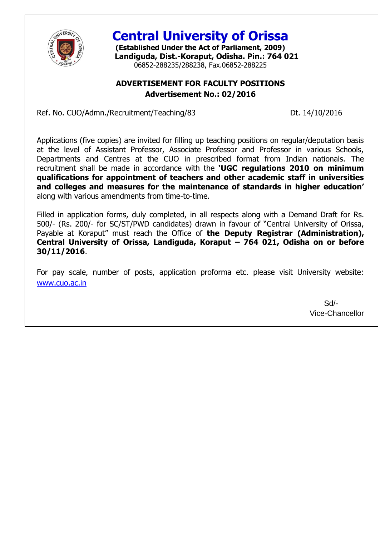

**Central University of Orissa**

**(Established Under the Act of Parliament, 2009) Landiguda, Dist.-Koraput, Odisha. Pin.: 764 021** 06852-288235/288238, Fax.06852-288225

# **ADVERTISEMENT FOR FACULTY POSITIONS Advertisement No.: 02/2016**

Ref. No. CUO/Admn./Recruitment/Teaching/83 Dt. 14/10/2016

Applications (five copies) are invited for filling up teaching positions on regular/deputation basis at the level of Assistant Professor, Associate Professor and Professor in various Schools, Departments and Centres at the CUO in prescribed format from Indian nationals. The recruitment shall be made in accordance with the **"UGC regulations 2010 on minimum qualifications for appointment of teachers and other academic staff in universities and colleges and measures for the maintenance of standards in higher education"** along with various amendments from time-to-time.

Filled in application forms, duly completed, in all respects along with a Demand Draft for Rs. 500/- (Rs. 200/- for SC/ST/PWD candidates) drawn in favour of "Central University of Orissa, Payable at Koraput" must reach the Office of **the Deputy Registrar (Administration), Central University of Orissa, Landiguda, Koraput – 764 021, Odisha on or before 30/11/2016**.

[For pay scale](http://www.cuo.ac.in/), number of posts, application proforma etc. please visit University website: www.cuo.ac.in

> Sd/- Vice-Chancellor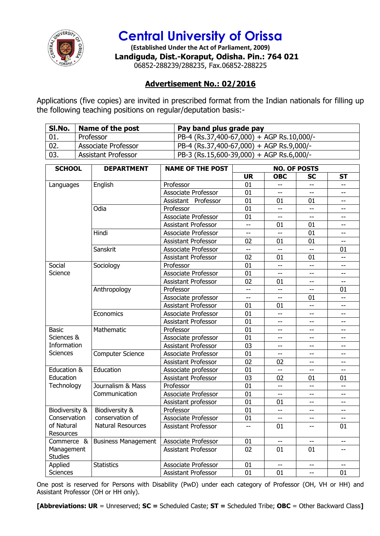

# **Central University of Orissa**

**(Established Under the Act of Parliament, 2009) Landiguda, Dist.-Koraput, Odisha. Pin.: 764 021** 06852-288239/288235, Fax.06852-288225

# **Advertisement No.: 02/2016**

Applications (five copies) are invited in prescribed format from the Indian nationals for filling up the following teaching positions on regular/deputation basis:-

| Sl.No. | Name of the post           | Pay band plus grade pay                   |
|--------|----------------------------|-------------------------------------------|
| 01.    | Professor                  | PB-4 (Rs.37,400-67,000) + AGP Rs.10,000/- |
| 02.    | <b>Associate Professor</b> | PB-4 (Rs.37,400-67,000) + AGP Rs.9,000/-  |
| 03.    | <b>Assistant Professor</b> | PB-3 (Rs.15,600-39,000) + AGP Rs.6,000/-  |

| <b>SCHOOL</b>                | <b>DEPARTMENT</b>          | <b>NAME OF THE POST</b>    | <b>NO. OF POSTS</b> |                          |                          |                          |
|------------------------------|----------------------------|----------------------------|---------------------|--------------------------|--------------------------|--------------------------|
|                              |                            |                            | <b>UR</b>           | <b>OBC</b>               | SC                       | <b>ST</b>                |
| Languages                    | English                    | Professor                  | 01                  | $\overline{\phantom{a}}$ | $-$                      | $-$                      |
|                              |                            | Associate Professor        | 01                  | $-$                      | $-$                      | $\overline{\phantom{0}}$ |
|                              |                            | Assistant Professor        | 01                  | 01                       | 01                       | $\overline{\phantom{0}}$ |
|                              | Odia                       | Professor                  | 01                  |                          | ΞĒ,                      | $-$                      |
|                              |                            | <b>Associate Professor</b> | 01                  | цц.                      | Ξ.                       | $\overline{\phantom{0}}$ |
|                              |                            | Assistant Professor        | uu.                 | 01                       | 01                       | $-$                      |
|                              | Hindi                      | Associate Professor        | $\frac{1}{2}$       | $\sim$                   | 01                       | $\overline{\phantom{0}}$ |
|                              |                            | <b>Assistant Professor</b> | 02                  | 01                       | 01                       | $\overline{\phantom{a}}$ |
|                              | Sanskrit                   | Associate Professor        | $-$                 | $\overline{a}$           | $-$                      | 01                       |
|                              |                            | <b>Assistant Professor</b> | 02                  | 01                       | 01                       | $\overline{\phantom{a}}$ |
| Social                       | Sociology                  | Professor                  | 01                  | $-$                      | ш.,                      | --                       |
| Science                      |                            | <b>Associate Professor</b> | 01                  | $-$                      | $\overline{\phantom{a}}$ | $\overline{\phantom{0}}$ |
|                              |                            | <b>Assistant Professor</b> | 02                  | 01                       | $\overline{\phantom{a}}$ | $-$                      |
|                              | Anthropology               | Professor                  | $\overline{a}$      | $\frac{1}{2}$            | $-$                      | 01                       |
|                              |                            | Associate professor        | $-$                 |                          | 01                       | $\overline{\phantom{a}}$ |
|                              |                            | <b>Assistant Professor</b> | 01                  | 01                       | LL.                      | $-$                      |
|                              | Economics                  | Associate Professor        | 01                  | $\overline{a}$           | $-$                      | $\overline{\phantom{0}}$ |
|                              |                            | Assistant Professor        | 01                  | $\qquad \qquad -$        | --                       | --                       |
| <b>Basic</b>                 | Mathematic                 | Professor                  | 01                  | $- -$                    | $\overline{\phantom{a}}$ | $-$                      |
| Sciences &                   |                            | Associate professor        | 01                  | $-$                      | $\qquad \qquad -$        | --                       |
| Information                  |                            | <b>Assistant Professor</b> | 03                  | $-$                      | $-$                      | $-$                      |
| <b>Sciences</b>              | <b>Computer Science</b>    | Associate Professor        | 01                  | $\overline{a}$           | $\overline{\phantom{a}}$ | $-$                      |
|                              |                            | Assistant Professor        | 02                  | 02                       | $-$                      | --                       |
| Education &                  | Education                  | Associate professor        | 01                  | $\overline{a}$           | $\overline{\phantom{a}}$ | $-$                      |
| Education                    |                            | <b>Assistant Professor</b> | 03                  | 02                       | 01                       | 01                       |
| Technology                   | Journalism & Mass          | Professor                  | 01                  | $\overline{a}$           | LL.                      | Ц,                       |
|                              | Communication              | Associate Professor        | 01                  | $-$                      | $-$                      | $-$                      |
|                              |                            | Assistant professor        | 01                  | 01                       | $\overline{\phantom{a}}$ | $\overline{\phantom{a}}$ |
| Biodiversity &               | Biodiversity &             | Professor                  | 01                  | $\overline{a}$           | $\overline{\phantom{a}}$ | $\overline{\phantom{a}}$ |
| Conservation                 | conservation of            | Associate Professor        | 01                  | $-$                      | $-$                      | $-$                      |
| of Natural                   | <b>Natural Resources</b>   | <b>Assistant Professor</b> | $-$                 | 01                       | $-$                      | 01                       |
| Resources                    |                            |                            |                     |                          |                          |                          |
| Commerce &                   | <b>Business Management</b> | Associate Professor        | 01                  |                          | $-$                      | --                       |
| Management<br><b>Studies</b> |                            | <b>Assistant Professor</b> | 02                  | 01                       | 01                       | $-$                      |
| Applied                      | <b>Statistics</b>          | <b>Associate Professor</b> | 01                  | $\overline{\phantom{a}}$ | $\overline{\phantom{a}}$ | $-$                      |
| <b>Sciences</b>              |                            | <b>Assistant Professor</b> | 01                  | 01                       | $\overline{\phantom{a}}$ | 01                       |

One post is reserved for Persons with Disability (PwD) under each category of Professor (OH, VH or HH) and Assistant Professor (OH or HH only).

**[Abbreviations: UR** = Unreserved; **SC =** Scheduled Caste; **ST =** Scheduled Tribe; **OBC** = Other Backward Class**]**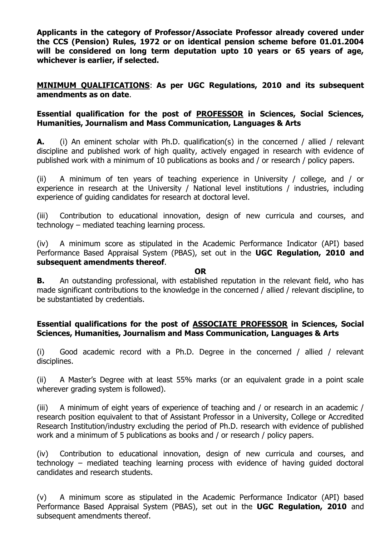**Applicants in the category of Professor/Associate Professor already covered under the CCS (Pension) Rules, 1972 or on identical pension scheme before 01.01.2004 will be considered on long term deputation upto 10 years or 65 years of age, whichever is earlier, if selected.**

**MINIMUM QUALIFICATIONS**: **As per UGC Regulations, 2010 and its subsequent amendments as on date**.

## **Essential qualification for the post of PROFESSOR in Sciences, Social Sciences, Humanities, Journalism and Mass Communication, Languages & Arts**

**A.** (i) An eminent scholar with Ph.D. qualification(s) in the concerned / allied / relevant discipline and published work of high quality, actively engaged in research with evidence of published work with a minimum of 10 publications as books and / or research / policy papers.

(ii) A minimum of ten years of teaching experience in University / college, and / or experience in research at the University / National level institutions / industries, including experience of guiding candidates for research at doctoral level.

(iii) Contribution to educational innovation, design of new curricula and courses, and technology – mediated teaching learning process.

(iv) A minimum score as stipulated in the Academic Performance Indicator (API) based Performance Based Appraisal System (PBAS), set out in the **UGC Regulation, 2010 and subsequent amendments thereof**.

#### **OR**

**B.** An outstanding professional, with established reputation in the relevant field, who has made significant contributions to the knowledge in the concerned / allied / relevant discipline, to be substantiated by credentials.

## **Essential qualifications for the post of ASSOCIATE PROFESSOR in Sciences, Social Sciences, Humanities, Journalism and Mass Communication, Languages & Arts**

(i) Good academic record with a Ph.D. Degree in the concerned / allied / relevant disciplines.

(ii) A Master's Degree with at least 55% marks (or an equivalent grade in a point scale wherever grading system is followed).

(iii) A minimum of eight years of experience of teaching and / or research in an academic / research position equivalent to that of Assistant Professor in a University, College or Accredited Research Institution/industry excluding the period of Ph.D. research with evidence of published work and a minimum of 5 publications as books and / or research / policy papers.

(iv) Contribution to educational innovation, design of new curricula and courses, and technology – mediated teaching learning process with evidence of having guided doctoral candidates and research students.

(v) A minimum score as stipulated in the Academic Performance Indicator (API) based Performance Based Appraisal System (PBAS), set out in the **UGC Regulation, 2010** and subsequent amendments thereof.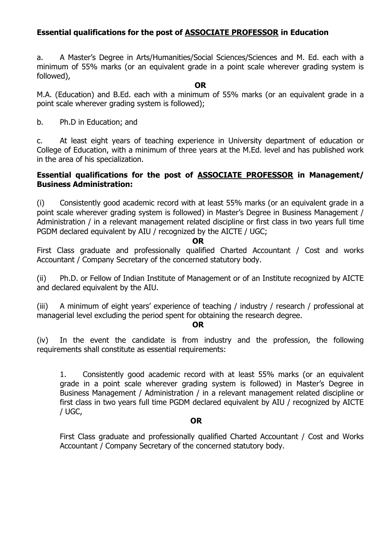# **Essential qualifications for the post of ASSOCIATE PROFESSOR in Education**

a. A Master's Degree in Arts/Humanities/Social Sciences/Sciences and M. Ed. each with a minimum of 55% marks (or an equivalent grade in a point scale wherever grading system is followed),

#### **OR**

M.A. (Education) and B.Ed. each with a minimum of 55% marks (or an equivalent grade in a point scale wherever grading system is followed);

b. Ph.D in Education; and

c. At least eight years of teaching experience in University department of education or College of Education, with a minimum of three years at the M.Ed. level and has published work in the area of his specialization.

## **Essential qualifications for the post of ASSOCIATE PROFESSOR in Management/ Business Administration:**

(i) Consistently good academic record with at least 55% marks (or an equivalent grade in a point scale wherever grading system is followed) in Master's Degree in Business Management / Administration / in a relevant management related discipline or first class in two years full time PGDM declared equivalent by AIU / recognized by the AICTE / UGC;

#### **OR**

First Class graduate and professionally qualified Charted Accountant / Cost and works Accountant / Company Secretary of the concerned statutory body.

(ii) Ph.D. or Fellow of Indian Institute of Management or of an Institute recognized by AICTE and declared equivalent by the AIU.

(iii) A minimum of eight years' experience of teaching / industry / research / professional at managerial level excluding the period spent for obtaining the research degree.

#### **OR**

(iv) In the event the candidate is from industry and the profession, the following requirements shall constitute as essential requirements:

1. Consistently good academic record with at least 55% marks (or an equivalent grade in a point scale wherever grading system is followed) in Master's Degree in Business Management / Administration / in a relevant management related discipline or first class in two years full time PGDM declared equivalent by AIU / recognized by AICTE / UGC,

#### **OR**

First Class graduate and professionally qualified Charted Accountant / Cost and Works Accountant / Company Secretary of the concerned statutory body.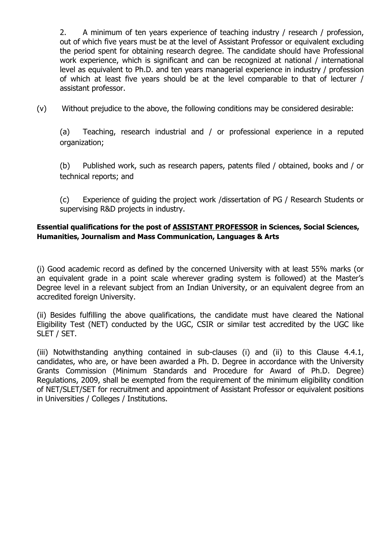2. A minimum of ten years experience of teaching industry / research / profession, out of which five years must be at the level of Assistant Professor or equivalent excluding the period spent for obtaining research degree. The candidate should have Professional work experience, which is significant and can be recognized at national / international level as equivalent to Ph.D. and ten years managerial experience in industry / profession of which at least five years should be at the level comparable to that of lecturer / assistant professor.

(v) Without prejudice to the above, the following conditions may be considered desirable:

(a) Teaching, research industrial and / or professional experience in a reputed organization;

(b) Published work, such as research papers, patents filed / obtained, books and / or technical reports; and

(c) Experience of guiding the project work /dissertation of PG / Research Students or supervising R&D projects in industry.

### **Essential qualifications for the post of ASSISTANT PROFESSOR in Sciences, Social Sciences, Humanities, Journalism and Mass Communication, Languages & Arts**

(i) Good academic record as defined by the concerned University with at least 55% marks (or an equivalent grade in a point scale wherever grading system is followed) at the Master's Degree level in a relevant subject from an Indian University, or an equivalent degree from an accredited foreign University.

(ii) Besides fulfilling the above qualifications, the candidate must have cleared the National Eligibility Test (NET) conducted by the UGC, CSIR or similar test accredited by the UGC like SLET / SET.

(iii) Notwithstanding anything contained in sub-clauses (i) and (ii) to this Clause 4.4.1, candidates, who are, or have been awarded a Ph. D. Degree in accordance with the University Grants Commission (Minimum Standards and Procedure for Award of Ph.D. Degree) Regulations, 2009, shall be exempted from the requirement of the minimum eligibility condition of NET/SLET/SET for recruitment and appointment of Assistant Professor or equivalent positions in Universities / Colleges / Institutions.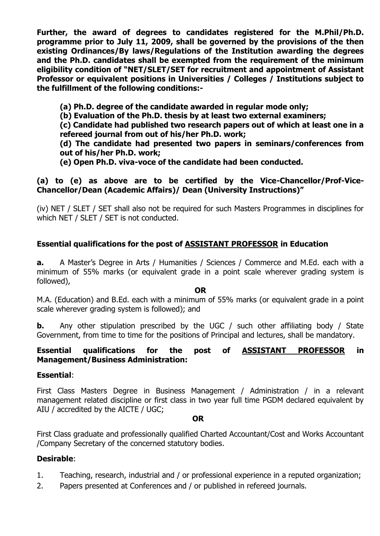**Further, the award of degrees to candidates registered for the M.Phil/Ph.D. programme prior to July 11, 2009, shall be governed by the provisions of the then existing Ordinances/By laws/Regulations of the Institution awarding the degrees and the Ph.D. candidates shall be exempted from the requirement of the minimum eligibility condition of "NET/SLET/SET for recruitment and appointment of Assistant Professor or equivalent positions in Universities / Colleges / Institutions subject to the fulfillment of the following conditions:-**

- **(a) Ph.D. degree of the candidate awarded in regular mode only;**
- **(b) Evaluation of the Ph.D. thesis by at least two external examiners;**

**(c) Candidate had published two research papers out of which at least one in a** 

**refereed journal from out of his/her Ph.D. work;** 

**(d) The candidate had presented two papers in seminars/conferences from out of his/her Ph.D. work;** 

**(e) Open Ph.D. viva-voce of the candidate had been conducted.** 

# **(a) to (e) as above are to be certified by the Vice-Chancellor/Prof-Vice-Chancellor/Dean (Academic Affairs)/ Dean (University Instructions)"**

(iv) NET / SLET / SET shall also not be required for such Masters Programmes in disciplines for which NET / SLET / SET is not conducted.

# **Essential qualifications for the post of ASSISTANT PROFESSOR in Education**

**a.** A Master's Degree in Arts / Humanities / Sciences / Commerce and M.Ed. each with a minimum of 55% marks (or equivalent grade in a point scale wherever grading system is followed),

**OR**

M.A. (Education) and B.Ed. each with a minimum of 55% marks (or equivalent grade in a point scale wherever grading system is followed); and

**b.** Any other stipulation prescribed by the UGC / such other affiliating body / State Government, from time to time for the positions of Principal and lectures, shall be mandatory.

## **Essential qualifications for the post of ASSISTANT PROFESSOR in Management/Business Administration:**

## **Essential**:

First Class Masters Degree in Business Management / Administration / in a relevant management related discipline or first class in two year full time PGDM declared equivalent by AIU / accredited by the AICTE / UGC;

#### **OR**

First Class graduate and professionally qualified Charted Accountant/Cost and Works Accountant /Company Secretary of the concerned statutory bodies.

## **Desirable**:

- 1. Teaching, research, industrial and / or professional experience in a reputed organization;
- 2. Papers presented at Conferences and / or published in refereed journals.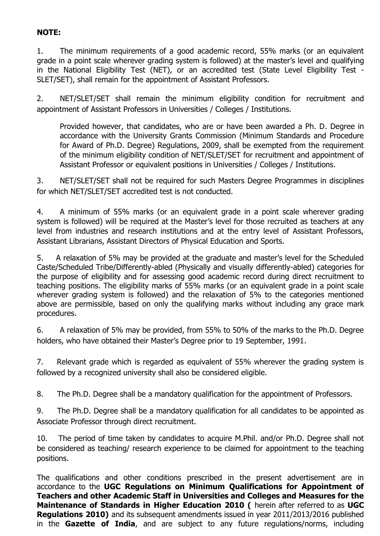# **NOTE:**

1. The minimum requirements of a good academic record, 55% marks (or an equivalent grade in a point scale wherever grading system is followed) at the master's level and qualifying in the National Eligibility Test (NET), or an accredited test (State Level Eligibility Test - SLET/SET), shall remain for the appointment of Assistant Professors.

2. NET/SLET/SET shall remain the minimum eligibility condition for recruitment and appointment of Assistant Professors in Universities / Colleges / Institutions.

Provided however, that candidates, who are or have been awarded a Ph. D. Degree in accordance with the University Grants Commission (Minimum Standards and Procedure for Award of Ph.D. Degree) Regulations, 2009, shall be exempted from the requirement of the minimum eligibility condition of NET/SLET/SET for recruitment and appointment of Assistant Professor or equivalent positions in Universities / Colleges / Institutions.

3. NET/SLET/SET shall not be required for such Masters Degree Programmes in disciplines for which NET/SLET/SET accredited test is not conducted.

4. A minimum of 55% marks (or an equivalent grade in a point scale wherever grading system is followed) will be required at the Master's level for those recruited as teachers at any level from industries and research institutions and at the entry level of Assistant Professors, Assistant Librarians, Assistant Directors of Physical Education and Sports.

5. A relaxation of 5% may be provided at the graduate and master's level for the Scheduled Caste/Scheduled Tribe/Differently-abled (Physically and visually differently-abled) categories for the purpose of eligibility and for assessing good academic record during direct recruitment to teaching positions. The eligibility marks of 55% marks (or an equivalent grade in a point scale wherever grading system is followed) and the relaxation of 5% to the categories mentioned above are permissible, based on only the qualifying marks without including any grace mark procedures.

6. A relaxation of 5% may be provided, from 55% to 50% of the marks to the Ph.D. Degree holders, who have obtained their Master's Degree prior to 19 September, 1991.

7. Relevant grade which is regarded as equivalent of 55% wherever the grading system is followed by a recognized university shall also be considered eligible.

8. The Ph.D. Degree shall be a mandatory qualification for the appointment of Professors.

9. The Ph.D. Degree shall be a mandatory qualification for all candidates to be appointed as Associate Professor through direct recruitment.

10. The period of time taken by candidates to acquire M.Phil. and/or Ph.D. Degree shall not be considered as teaching/ research experience to be claimed for appointment to the teaching positions.

The qualifications and other conditions prescribed in the present advertisement are in accordance to the **UGC Regulations on Minimum Qualifications for Appointment of Teachers and other Academic Staff in Universities and Colleges and Measures for the Maintenance of Standards in Higher Education 2010 (** herein after referred to as **UGC Regulations 2010)** and its subsequent amendments issued in year 2011/2013/2016 published in the **Gazette of India**, and are subject to any future regulations/norms, including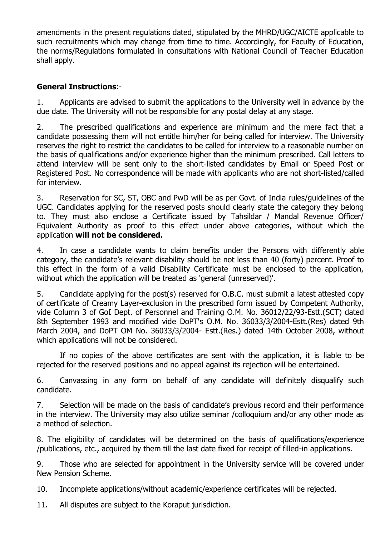amendments in the present regulations dated, stipulated by the MHRD/UGC/AICTE applicable to such recruitments which may change from time to time. Accordingly, for Faculty of Education, the norms/Regulations formulated in consultations with National Council of Teacher Education shall apply.

# **General Instructions**:-

1. Applicants are advised to submit the applications to the University well in advance by the due date. The University will not be responsible for any postal delay at any stage.

2. The prescribed qualifications and experience are minimum and the mere fact that a candidate possessing them will not entitle him/her for being called for interview. The University reserves the right to restrict the candidates to be called for interview to a reasonable number on the basis of qualifications and/or experience higher than the minimum prescribed. Call letters to attend interview will be sent only to the short-listed candidates by Email or Speed Post or Registered Post. No correspondence will be made with applicants who are not short-listed/called for interview.

3. Reservation for SC, ST, OBC and PwD will be as per Govt. of India rules/guidelines of the UGC. Candidates applying for the reserved posts should clearly state the category they belong to. They must also enclose a Certificate issued by Tahsildar / Mandal Revenue Officer/ Equivalent Authority as proof to this effect under above categories, without which the application **will not be considered.**

4. In case a candidate wants to claim benefits under the Persons with differently able category, the candidate's relevant disability should be not less than 40 (forty) percent. Proof to this effect in the form of a valid Disability Certificate must be enclosed to the application, without which the application will be treated as 'general (unreserved)'.

5. Candidate applying for the post(s) reserved for O.B.C. must submit a latest attested copy of certificate of Creamy Layer-exclusion in the prescribed form issued by Competent Authority, vide Column 3 of GoI Dept. of Personnel and Training O.M. No. 36012/22/93-Estt.(SCT) dated 8th September 1993 and modified vide DoPT's O.M. No. 36033/3/2004-Estt.(Res) dated 9th March 2004, and DoPT OM No. 36033/3/2004- Estt.(Res.) dated 14th October 2008, without which applications will not be considered.

If no copies of the above certificates are sent with the application, it is liable to be rejected for the reserved positions and no appeal against its rejection will be entertained.

6. Canvassing in any form on behalf of any candidate will definitely disqualify such candidate.

7. Selection will be made on the basis of candidate's previous record and their performance in the interview. The University may also utilize seminar /colloquium and/or any other mode as a method of selection.

8. The eligibility of candidates will be determined on the basis of qualifications/experience /publications, etc., acquired by them till the last date fixed for receipt of filled-in applications.

9. Those who are selected for appointment in the University service will be covered under New Pension Scheme.

10. Incomplete applications/without academic/experience certificates will be rejected.

11. All disputes are subject to the Koraput jurisdiction.